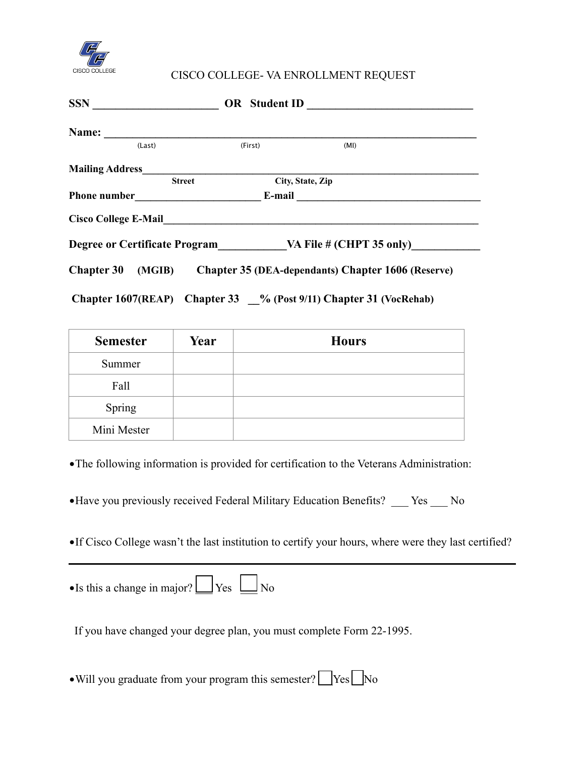

## CISCO COLLEGE- VA ENROLLMENT REQUEST

| <b>SSN</b><br><u> 1980 - Johann Barbara, martin a</u>             | <b>OR</b> Student ID |                                                           |
|-------------------------------------------------------------------|----------------------|-----------------------------------------------------------|
| Name:                                                             |                      |                                                           |
| (Last)                                                            | (First)              | (MI)                                                      |
| <b>Mailing Address</b>                                            |                      |                                                           |
| <b>Street</b>                                                     | City, State, Zip     |                                                           |
| <b>Phone number</b>                                               |                      |                                                           |
| <b>Cisco College E-Mail</b>                                       |                      |                                                           |
| Degree or Certificate Program VA File # (CHPT 35 only)            |                      |                                                           |
| <b>Chapter 30</b>                                                 |                      | (MGIB) Chapter 35 (DEA-dependants) Chapter 1606 (Reserve) |
| Chapter 1607(REAP) Chapter 33 % (Post 9/11) Chapter 31 (VocRehab) |                      |                                                           |

| <b>Semester</b> | Year | <b>Hours</b> |
|-----------------|------|--------------|
| Summer          |      |              |
| Fall            |      |              |
| Spring          |      |              |
| Mini Mester     |      |              |

•The following information is provided for certification to the Veterans Administration:

•Have you previously received Federal Military Education Benefits? \_\_\_ Yes \_\_\_ No

•If Cisco College wasn't the last institution to certify your hours, where were they last certified?

•Is this a change in major?  $\Box$  Yes  $\Box$  No

If you have changed your degree plan, you must complete Form 22-1995.

• Will you graduate from your program this semester?  $\Box$  Yes  $\Box$  No